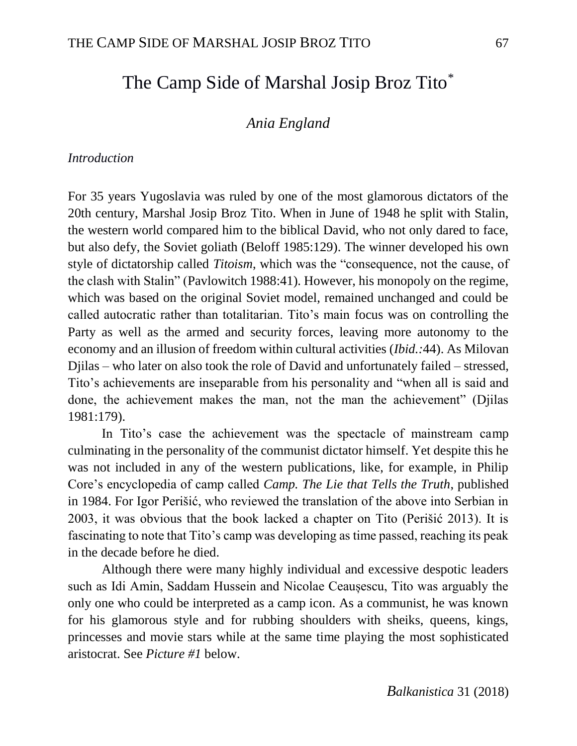# The Camp Side of Marshal Josip Broz Tito<sup>\*</sup>

## *Ania England*

#### *Introduction*

For 35 years Yugoslavia was ruled by one of the most glamorous dictators of the 20th century, Marshal Josip Broz Tito. When in June of 1948 he split with Stalin, the western world compared him to the biblical David, who not only dared to face, but also defy, the Soviet goliath (Beloff 1985:129). The winner developed his own style of dictatorship called *Titoism*, which was the "consequence, not the cause, of the clash with Stalin" (Pavlowitch 1988:41). However, his monopoly on the regime, which was based on the original Soviet model, remained unchanged and could be called autocratic rather than totalitarian. Tito's main focus was on controlling the Party as well as the armed and security forces, leaving more autonomy to the economy and an illusion of freedom within cultural activities (*Ibid.:*44). As Milovan Djilas – who later on also took the role of David and unfortunately failed – stressed, Tito's achievements are inseparable from his personality and "when all is said and done, the achievement makes the man, not the man the achievement" (Djilas 1981:179).

In Tito's case the achievement was the spectacle of mainstream camp culminating in the personality of the communist dictator himself. Yet despite this he was not included in any of the western publications, like, for example, in Philip Core's encyclopedia of camp called *Camp. The Lie that Tells the Truth*, published in 1984. For Igor Perišić, who reviewed the translation of the above into Serbian in 2003, it was obvious that the book lacked a chapter on Tito (Perišić 2013). It is fascinating to note that Tito's camp was developing as time passed, reaching its peak in the decade before he died.

Although there were many highly individual and excessive despotic leaders such as Idi Amin, Saddam Hussein and Nicolae Ceaușescu, Tito was arguably the only one who could be interpreted as a camp icon. As a communist, he was known for his glamorous style and for rubbing shoulders with sheiks, queens, kings, princesses and movie stars while at the same time playing the most sophisticated aristocrat. See *Picture #1* below.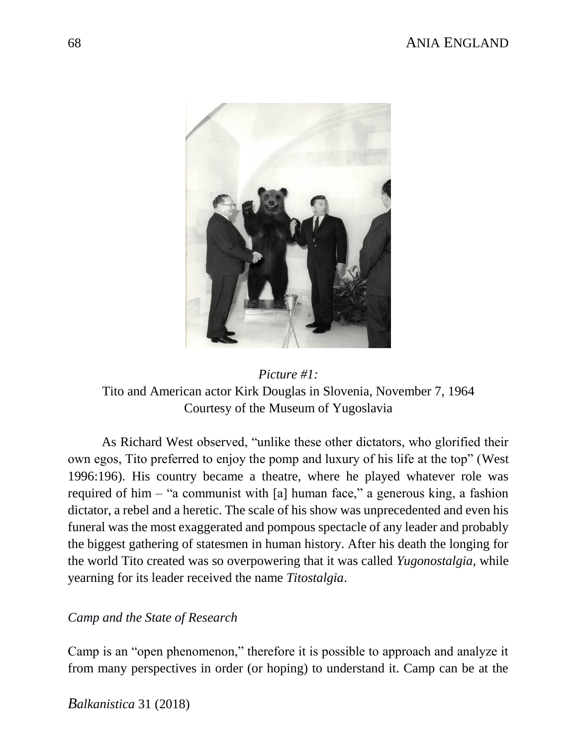# 68 ANIA ENGLAND



*Picture #1:* Tito and American actor Kirk Douglas in Slovenia, November 7, 1964 Courtesy of the Museum of Yugoslavia

As Richard West observed, "unlike these other dictators, who glorified their own egos, Tito preferred to enjoy the pomp and luxury of his life at the top" (West 1996:196). His country became a theatre, where he played whatever role was required of him – "a communist with [a] human face," a generous king, a fashion dictator, a rebel and a heretic. The scale of his show was unprecedented and even his funeral was the most exaggerated and pompous spectacle of any leader and probably the biggest gathering of statesmen in human history. After his death the longing for the world Tito created was so overpowering that it was called *Yugonostalgia*, while yearning for its leader received the name *Titostalgia*.

### *Camp and the State of Research*

Camp is an "open phenomenon," therefore it is possible to approach and analyze it from many perspectives in order (or hoping) to understand it. Camp can be at the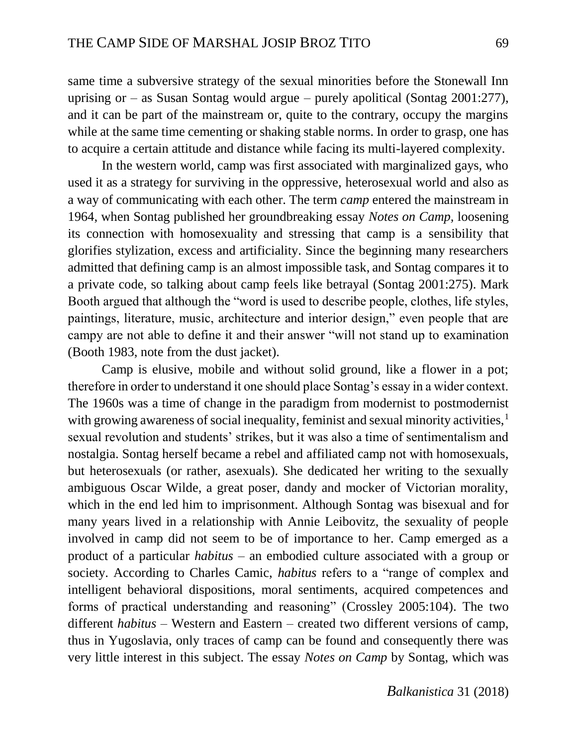same time a subversive strategy of the sexual minorities before the Stonewall Inn uprising or – as Susan Sontag would argue – purely apolitical (Sontag  $2001:277$ ), and it can be part of the mainstream or, quite to the contrary, occupy the margins while at the same time cementing or shaking stable norms. In order to grasp, one has to acquire a certain attitude and distance while facing its multi-layered complexity.

In the western world, camp was first associated with marginalized gays, who used it as a strategy for surviving in the oppressive, heterosexual world and also as a way of communicating with each other. The term *camp* entered the mainstream in 1964, when Sontag published her groundbreaking essay *Notes on Camp,* loosening its connection with homosexuality and stressing that camp is a sensibility that glorifies stylization, excess and artificiality. Since the beginning many researchers admitted that defining camp is an almost impossible task, and Sontag compares it to a private code, so talking about camp feels like betrayal (Sontag 2001:275). Mark Booth argued that although the "word is used to describe people, clothes, life styles, paintings, literature, music, architecture and interior design," even people that are campy are not able to define it and their answer "will not stand up to examination (Booth 1983, note from the dust jacket).

Camp is elusive, mobile and without solid ground, like a flower in a pot; therefore in order to understand it one should place Sontag's essay in a wider context. The 1960s was a time of change in the paradigm from modernist to postmodernist with growing awareness of social inequality, feminist and sexual minority activities,<sup>1</sup> sexual revolution and students' strikes, but it was also a time of sentimentalism and nostalgia. Sontag herself became a rebel and affiliated camp not with homosexuals, but heterosexuals (or rather, asexuals). She dedicated her writing to the sexually ambiguous Oscar Wilde, a great poser, dandy and mocker of Victorian morality, which in the end led him to imprisonment. Although Sontag was bisexual and for many years lived in a relationship with Annie Leibovitz, the sexuality of people involved in camp did not seem to be of importance to her. Camp emerged as a product of a particular *habitus* – an embodied culture associated with a group or society. According to Charles Camic, *habitus* refers to a "range of complex and intelligent behavioral dispositions, moral sentiments, acquired competences and forms of practical understanding and reasoning" (Crossley 2005:104). The two different *habitus* – Western and Eastern – created two different versions of camp, thus in Yugoslavia, only traces of camp can be found and consequently there was very little interest in this subject. The essay *Notes on Camp* by Sontag, which was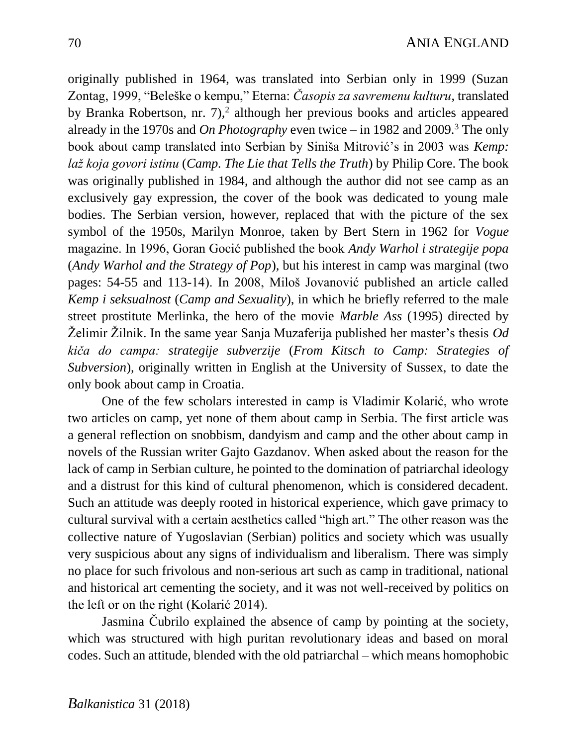originally published in 1964, was translated into Serbian only in 1999 (Suzan Zontag, 1999, "Beleške o kempu," Eterna: *Časopis za savremenu kulturu*, translated by Branka Robertson, nr.  $7$ ,  $2$  although her previous books and articles appeared already in the 1970s and *On Photography* even twice – in 1982 and 2009.<sup>3</sup> The only book about camp translated into Serbian by Siniša Mitrović's in 2003 was *Kemp: laž koja govori istinu* (*Camp. The Lie that Tells the Truth*) by Philip Core. The book was originally published in 1984, and although the author did not see camp as an exclusively gay expression, the cover of the book was dedicated to young male bodies. The Serbian version, however, replaced that with the picture of the sex symbol of the 1950s, Marilyn Monroe, taken by Bert Stern in 1962 for *Vogue*  magazine. In 1996, Goran Gocić published the book *Andy Warhol i strategije popa*  (*Andy Warhol and the Strategy of Pop*)*,* but his interest in camp was marginal (two pages: 54-55 and 113-14). In 2008, Miloš Jovanović published an article called *Kemp i seksualnost* (*Camp and Sexuality*), in which he briefly referred to the male street prostitute Merlinka, the hero of the movie *Marble Ass* (1995) directed by Želimir Žilnik. In the same year Sanja Muzaferija published her master's thesis *Od kiča do campa: strategije subverzije* (*From Kitsch to Camp: Strategies of Subversion*), originally written in English at the University of Sussex, to date the only book about camp in Croatia.

One of the few scholars interested in camp is Vladimir Kolarić, who wrote two articles on camp, yet none of them about camp in Serbia. The first article was a general reflection on snobbism, dandyism and camp and the other about camp in novels of the Russian writer Gajto Gazdanov. When asked about the reason for the lack of camp in Serbian culture, he pointed to the domination of patriarchal ideology and a distrust for this kind of cultural phenomenon, which is considered decadent. Such an attitude was deeply rooted in historical experience, which gave primacy to cultural survival with a certain aesthetics called "high art." The other reason was the collective nature of Yugoslavian (Serbian) politics and society which was usually very suspicious about any signs of individualism and liberalism. There was simply no place for such frivolous and non-serious art such as camp in traditional, national and historical art cementing the society, and it was not well-received by politics on the left or on the right (Kolarić 2014).

Jasmina Čubrilo explained the absence of camp by pointing at the society, which was structured with high puritan revolutionary ideas and based on moral codes. Such an attitude, blended with the old patriarchal – which means homophobic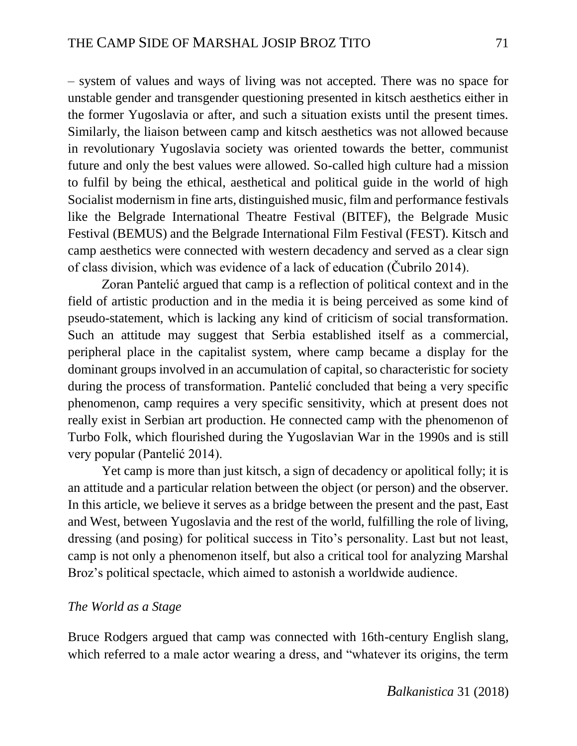– system of values and ways of living was not accepted. There was no space for unstable gender and transgender questioning presented in kitsch aesthetics either in the former Yugoslavia or after, and such a situation exists until the present times. Similarly, the liaison between camp and kitsch aesthetics was not allowed because in revolutionary Yugoslavia society was oriented towards the better, communist future and only the best values were allowed. So-called high culture had a mission to fulfil by being the ethical, aesthetical and political guide in the world of high Socialist modernism in fine arts, distinguished music, film and performance festivals like the Belgrade International Theatre Festival (BITEF), the Belgrade Music Festival (BEMUS) and the Belgrade International Film Festival (FEST). Kitsch and camp aesthetics were connected with western decadency and served as a clear sign of class division, which was evidence of a lack of education (Čubrilo 2014).

Zoran Pantelić argued that camp is a reflection of political context and in the field of artistic production and in the media it is being perceived as some kind of pseudo-statement, which is lacking any kind of criticism of social transformation. Such an attitude may suggest that Serbia established itself as a commercial, peripheral place in the capitalist system, where camp became a display for the dominant groups involved in an accumulation of capital, so characteristic for society during the process of transformation. Pantelić concluded that being a very specific phenomenon, camp requires a very specific sensitivity, which at present does not really exist in Serbian art production. He connected camp with the phenomenon of Turbo Folk, which flourished during the Yugoslavian War in the 1990s and is still very popular (Pantelić 2014).

Yet camp is more than just kitsch, a sign of decadency or apolitical folly; it is an attitude and a particular relation between the object (or person) and the observer. In this article, we believe it serves as a bridge between the present and the past, East and West, between Yugoslavia and the rest of the world, fulfilling the role of living, dressing (and posing) for political success in Tito's personality. Last but not least, camp is not only a phenomenon itself, but also a critical tool for analyzing Marshal Broz's political spectacle, which aimed to astonish a worldwide audience.

#### *The World as a Stage*

Bruce Rodgers argued that camp was connected with 16th-century English slang, which referred to a male actor wearing a dress, and "whatever its origins, the term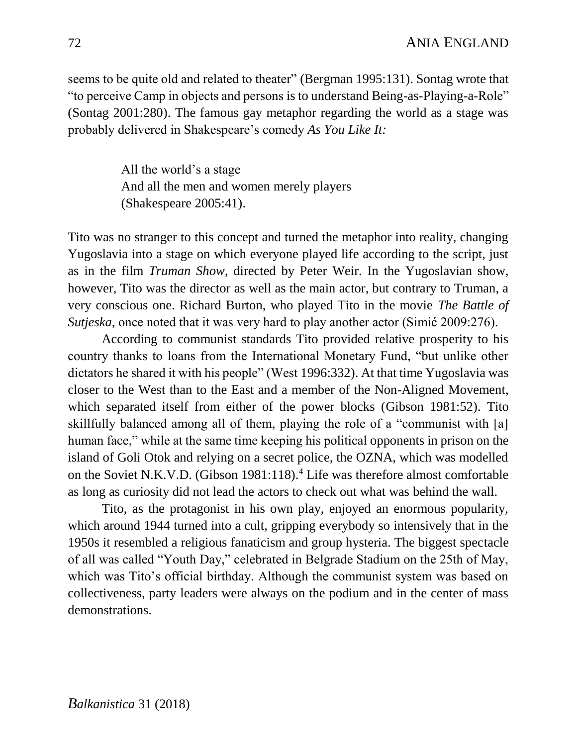seems to be quite old and related to theater" (Bergman 1995:131). Sontag wrote that "to perceive Camp in objects and persons is to understand Being-as-Playing-a-Role" (Sontag 2001:280). The famous gay metaphor regarding the world as a stage was probably delivered in Shakespeare's comedy *As You Like It:*

> All the world's a stage And all the men and women merely players (Shakespeare 2005:41).

Tito was no stranger to this concept and turned the metaphor into reality, changing Yugoslavia into a stage on which everyone played life according to the script, just as in the film *Truman Show*, directed by Peter Weir. In the Yugoslavian show, however, Tito was the director as well as the main actor, but contrary to Truman, a very conscious one. Richard Burton, who played Tito in the movie *The Battle of Sutjeska,* once noted that it was very hard to play another actor (Simić 2009:276).

According to communist standards Tito provided relative prosperity to his country thanks to loans from the International Monetary Fund, "but unlike other dictators he shared it with his people" (West 1996:332). At that time Yugoslavia was closer to the West than to the East and a member of the Non-Aligned Movement, which separated itself from either of the power blocks (Gibson 1981:52). Tito skillfully balanced among all of them, playing the role of a "communist with [a] human face," while at the same time keeping his political opponents in prison on the island of Goli Otok and relying on a secret police, the OZNA, which was modelled on the Soviet N.K.V.D. (Gibson 1981:118).<sup>4</sup> Life was therefore almost comfortable as long as curiosity did not lead the actors to check out what was behind the wall.

Tito, as the protagonist in his own play, enjoyed an enormous popularity, which around 1944 turned into a cult, gripping everybody so intensively that in the 1950s it resembled a religious fanaticism and group hysteria. The biggest spectacle of all was called "Youth Day," celebrated in Belgrade Stadium on the 25th of May, which was Tito's official birthday. Although the communist system was based on collectiveness, party leaders were always on the podium and in the center of mass demonstrations.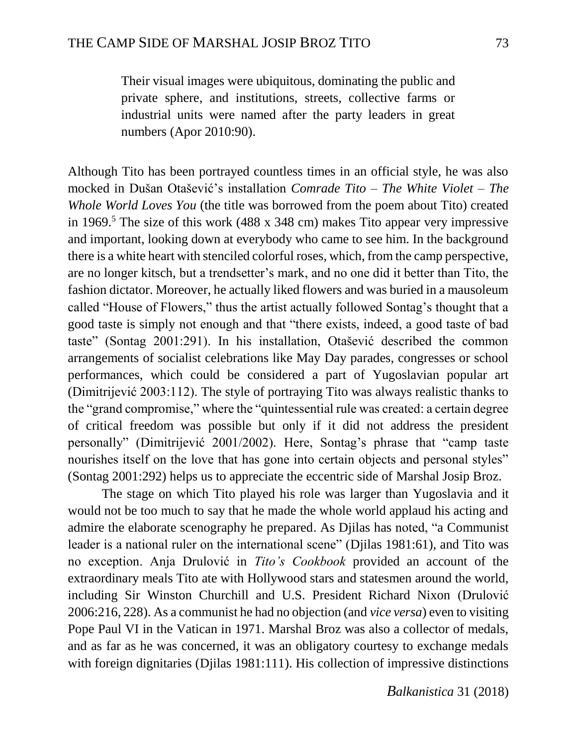Their visual images were ubiquitous, dominating the public and private sphere, and institutions, streets, collective farms or industrial units were named after the party leaders in great numbers (Apor 2010:90).

Although Tito has been portrayed countless times in an official style, he was also mocked in Dušan Otašević's installation *Comrade Tito – The White Violet – The Whole World Loves You* (the title was borrowed from the poem about Tito) created in 1969.<sup>5</sup> The size of this work (488 x 348 cm) makes Tito appear very impressive and important, looking down at everybody who came to see him. In the background there is a white heart with stenciled colorful roses, which, from the camp perspective, are no longer kitsch, but a trendsetter's mark, and no one did it better than Tito, the fashion dictator. Moreover, he actually liked flowers and was buried in a mausoleum called "House of Flowers," thus the artist actually followed Sontag's thought that a good taste is simply not enough and that "there exists, indeed, a good taste of bad taste" (Sontag 2001:291). In his installation, Otašević described the common arrangements of socialist celebrations like May Day parades, congresses or school performances, which could be considered a part of Yugoslavian popular art (Dimitrijević 2003:112). The style of portraying Tito was always realistic thanks to the "grand compromise," where the "quintessential rule was created: a certain degree of critical freedom was possible but only if it did not address the president personally" (Dimitrijević 2001/2002). Here, Sontag's phrase that "camp taste nourishes itself on the love that has gone into certain objects and personal styles" (Sontag 2001:292) helps us to appreciate the eccentric side of Marshal Josip Broz.

The stage on which Tito played his role was larger than Yugoslavia and it would not be too much to say that he made the whole world applaud his acting and admire the elaborate scenography he prepared. As Djilas has noted, "a Communist leader is a national ruler on the international scene" (Djilas 1981:61), and Tito was no exception. Anja Drulović in *Tito's Cookbook* provided an account of the extraordinary meals Tito ate with Hollywood stars and statesmen around the world, including Sir Winston Churchill and U.S. President Richard Nixon (Drulović 2006:216, 228). As a communist he had no objection (and *vice versa*) even to visiting Pope Paul VI in the Vatican in 1971. Marshal Broz was also a collector of medals, and as far as he was concerned, it was an obligatory courtesy to exchange medals with foreign dignitaries (Dillas 1981:111). His collection of impressive distinctions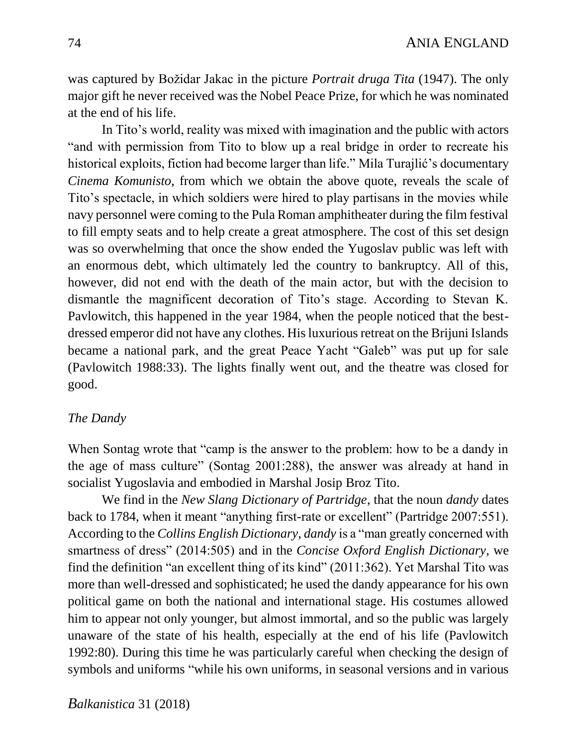was captured by Božidar Jakac in the picture *Portrait druga Tita* (1947). The only major gift he never received was the Nobel Peace Prize, for which he was nominated at the end of his life.

In Tito's world, reality was mixed with imagination and the public with actors "and with permission from Tito to blow up a real bridge in order to recreate his historical exploits, fiction had become larger than life." Mila Turajlić's documentary *Cinema Komunisto*, from which we obtain the above quote, reveals the scale of Tito's spectacle, in which soldiers were hired to play partisans in the movies while navy personnel were coming to the Pula Roman amphitheater during the film festival to fill empty seats and to help create a great atmosphere. The cost of this set design was so overwhelming that once the show ended the Yugoslav public was left with an enormous debt, which ultimately led the country to bankruptcy. All of this, however, did not end with the death of the main actor, but with the decision to dismantle the magnificent decoration of Tito's stage. According to Stevan K. Pavlowitch, this happened in the year 1984, when the people noticed that the bestdressed emperor did not have any clothes. His luxurious retreat on the Brijuni Islands became a national park, and the great Peace Yacht "Galeb" was put up for sale (Pavlowitch 1988:33). The lights finally went out, and the theatre was closed for good.

### *The Dandy*

When Sontag wrote that "camp is the answer to the problem: how to be a dandy in the age of mass culture" (Sontag 2001:288), the answer was already at hand in socialist Yugoslavia and embodied in Marshal Josip Broz Tito.

We find in the *New Slang Dictionary of Partridge*, that the noun *dandy* dates back to 1784, when it meant "anything first-rate or excellent" (Partridge 2007:551). According to the *Collins English Dictionary*, *dandy* is a "man greatly concerned with smartness of dress" (2014:505) and in the *Concise Oxford English Dictionary*, we find the definition "an excellent thing of its kind" (2011:362). Yet Marshal Tito was more than well-dressed and sophisticated; he used the dandy appearance for his own political game on both the national and international stage. His costumes allowed him to appear not only younger, but almost immortal, and so the public was largely unaware of the state of his health, especially at the end of his life (Pavlowitch 1992:80). During this time he was particularly careful when checking the design of symbols and uniforms "while his own uniforms, in seasonal versions and in various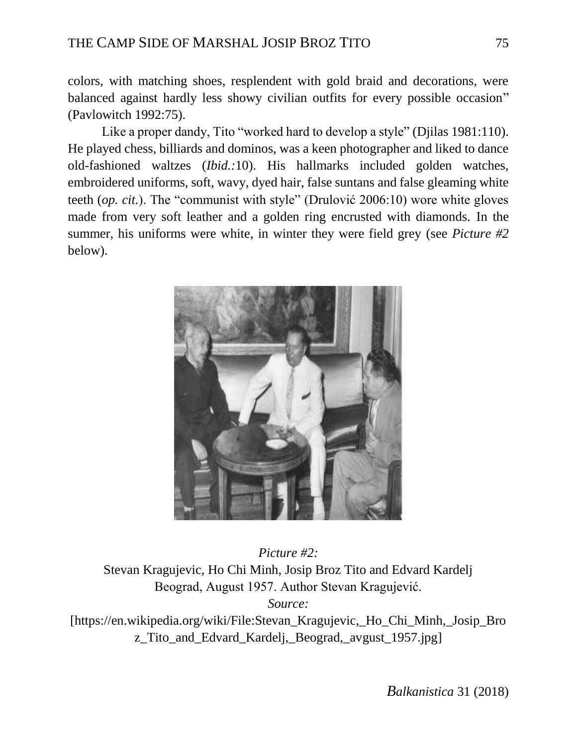colors, with matching shoes, resplendent with gold braid and decorations, were balanced against hardly less showy civilian outfits for every possible occasion" (Pavlowitch 1992:75).

Like a proper dandy, Tito "worked hard to develop a style" (Djilas 1981:110). He played chess, billiards and dominos, was a keen photographer and liked to dance old-fashioned waltzes (*Ibid.:*10). His hallmarks included golden watches, embroidered uniforms, soft, wavy, dyed hair, false suntans and false gleaming white teeth (*op. cit.*). The "communist with style" (Drulović 2006:10) wore white gloves made from very soft leather and a golden ring encrusted with diamonds. In the summer, his uniforms were white, in winter they were field grey (see *Picture #2* below).



*Picture #2:* Stevan Kragujevic, Ho Chi Minh, Josip Broz Tito and Edvard Kardelj Beograd, August 1957. Author Stevan Kragujević. *Source:* [\[https://en.wikipedia.org/wiki/File:Stevan\\_Kragujevic,\\_Ho\\_Chi\\_Minh,\\_Josip\\_Bro](https://en.wikipedia.org/wiki/File:Stevan_Kragujevic,_Ho_Chi_Minh,_Josip_Broz_Tito_and_Edvard_Kardelj,_Beograd,_avgust_1957.jpg) z Tito and Edvard Kardelj, Beograd, avgust 1957.jpg]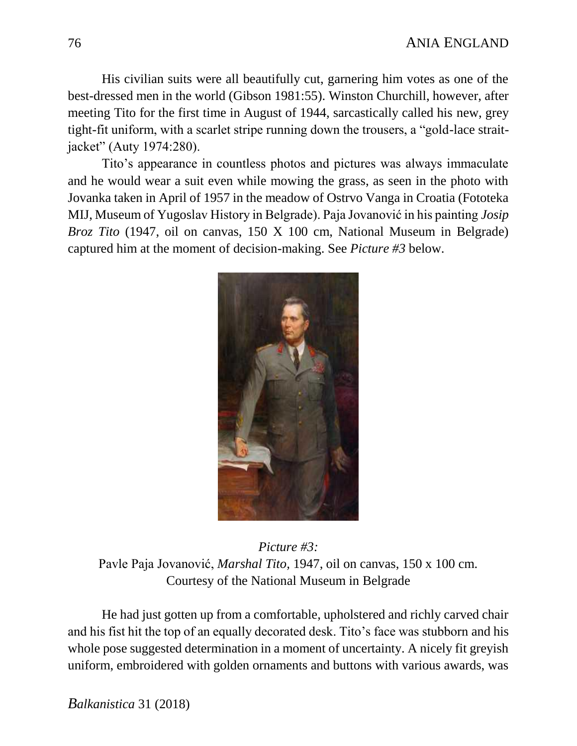His civilian suits were all beautifully cut, garnering him votes as one of the best-dressed men in the world (Gibson 1981:55). Winston Churchill, however, after meeting Tito for the first time in August of 1944, sarcastically called his new, grey tight-fit uniform, with a scarlet stripe running down the trousers, a "gold-lace straitjacket" (Auty 1974:280).

Tito's appearance in countless photos and pictures was always immaculate and he would wear a suit even while mowing the grass, as seen in the photo with Jovanka taken in April of 1957 in the meadow of Ostrvo Vanga in Croatia (Fototeka MIJ, Museum of Yugoslav History in Belgrade). Paja Jovanović in his painting *Josip Broz Tito* (1947, oil on canvas, 150 X 100 cm, National Museum in Belgrade) captured him at the moment of decision-making. See *Picture #3* below.



*Picture #3:* Pavle Paja Jovanović, *Marshal Tito,* 1947, oil on canvas, 150 x 100 cm. Courtesy of the National Museum in Belgrade

He had just gotten up from a comfortable, upholstered and richly carved chair and his fist hit the top of an equally decorated desk. Tito's face was stubborn and his whole pose suggested determination in a moment of uncertainty. A nicely fit greyish uniform, embroidered with golden ornaments and buttons with various awards, was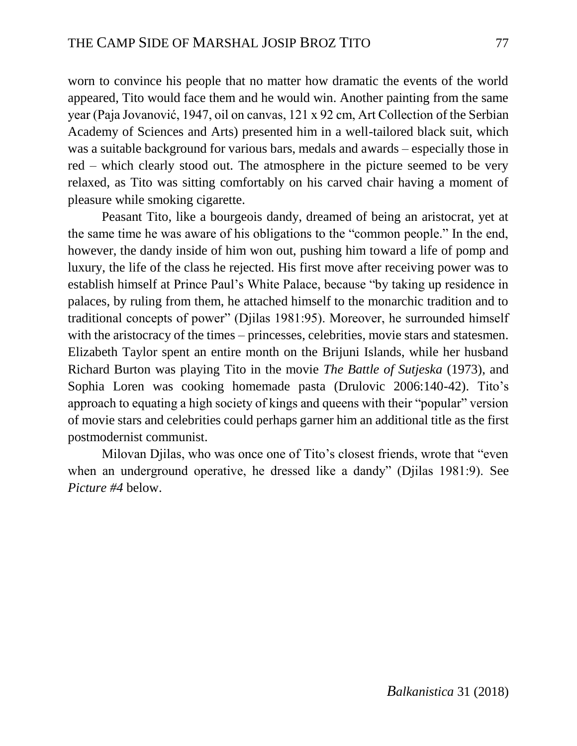worn to convince his people that no matter how dramatic the events of the world appeared, Tito would face them and he would win. Another painting from the same year (Paja Jovanović, 1947, oil on canvas, 121 x 92 cm, Art Collection of the Serbian Academy of Sciences and Arts) presented him in a well-tailored black suit, which was a suitable background for various bars, medals and awards – especially those in red – which clearly stood out. The atmosphere in the picture seemed to be very relaxed, as Tito was sitting comfortably on his carved chair having a moment of pleasure while smoking cigarette.

Peasant Tito, like a bourgeois dandy, dreamed of being an aristocrat, yet at the same time he was aware of his obligations to the "common people." In the end, however, the dandy inside of him won out, pushing him toward a life of pomp and luxury, the life of the class he rejected. His first move after receiving power was to establish himself at Prince Paul's White Palace, because "by taking up residence in palaces, by ruling from them, he attached himself to the monarchic tradition and to traditional concepts of power" (Djilas 1981:95). Moreover, he surrounded himself with the aristocracy of the times – princesses, celebrities, movie stars and statesmen. Elizabeth Taylor spent an entire month on the Brijuni Islands, while her husband Richard Burton was playing Tito in the movie *The Battle of Sutjeska* (1973), and Sophia Loren was cooking homemade pasta (Drulovic 2006:140-42). Tito's approach to equating a high society of kings and queens with their "popular" version of movie stars and celebrities could perhaps garner him an additional title as the first postmodernist communist.

Milovan Djilas, who was once one of Tito's closest friends, wrote that "even when an underground operative, he dressed like a dandy" (Djilas 1981:9). See *Picture #4* below.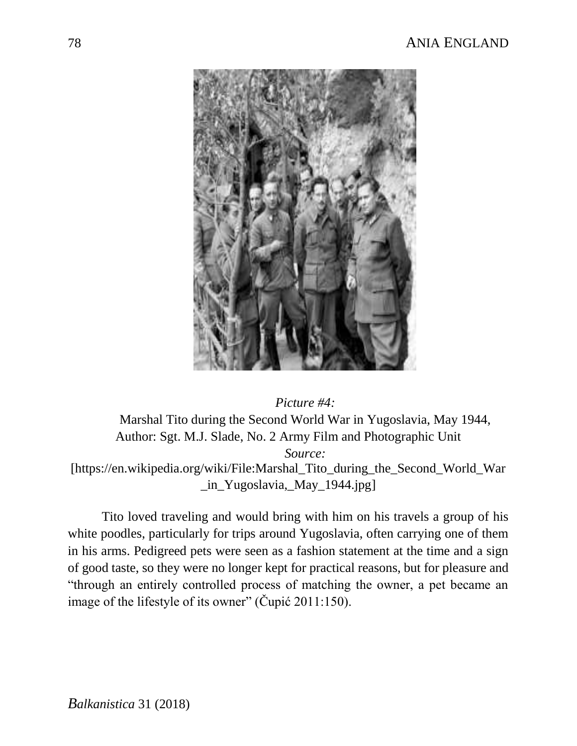

*Picture #4:* Marshal Tito during the Second World War in Yugoslavia, May 1944, Author: Sgt. M.J. Slade, No. 2 Army Film and Photographic Unit *Source:* [\[https://en.wikipedia.org/wiki/File:Marshal\\_Tito\\_during\\_the\\_Second\\_World\\_War](https://en.wikipedia.org/wiki/File:Marshal_Tito_during_the_Second_World_War_in_Yugoslavia,_May_1944.jpg) [\\_in\\_Yugoslavia,\\_May\\_1944.jpg\]](https://en.wikipedia.org/wiki/File:Marshal_Tito_during_the_Second_World_War_in_Yugoslavia,_May_1944.jpg)

Tito loved traveling and would bring with him on his travels a group of his white poodles, particularly for trips around Yugoslavia, often carrying one of them in his arms. Pedigreed pets were seen as a fashion statement at the time and a sign of good taste, so they were no longer kept for practical reasons, but for pleasure and "through an entirely controlled process of matching the owner, a pet became an image of the lifestyle of its owner" (Cupić 2011:150).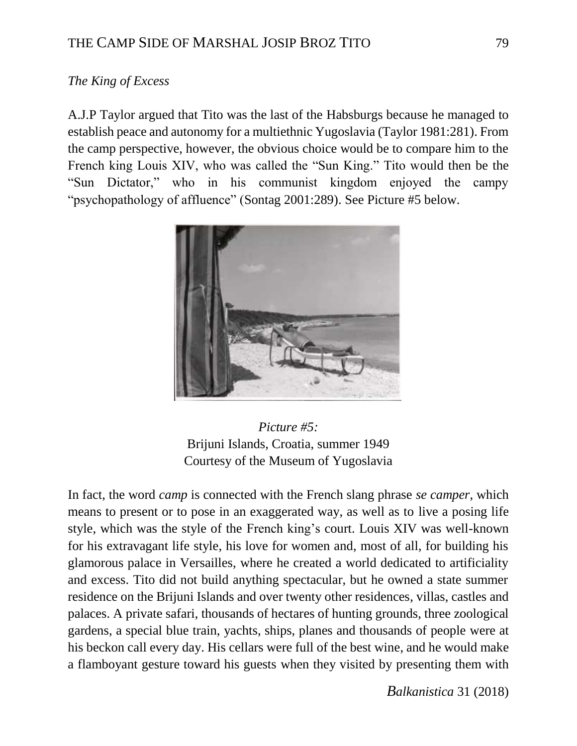# *The King of Excess*

A.J.P Taylor argued that Tito was the last of the Habsburgs because he managed to establish peace and autonomy for a multiethnic Yugoslavia (Taylor 1981:281). From the camp perspective, however, the obvious choice would be to compare him to the French king Louis XIV, who was called the "Sun King." Tito would then be the "Sun Dictator," who in his communist kingdom enjoyed the campy "psychopathology of affluence" (Sontag 2001:289). See Picture #5 below.



*Picture #5:* Brijuni Islands, Croatia, summer 1949 Courtesy of the Museum of Yugoslavia

In fact, the word *camp* is connected with the French slang phrase *se camper*, which means to present or to pose in an exaggerated way, as well as to live a posing life style, which was the style of the French king's court. Louis XIV was well-known for his extravagant life style, his love for women and, most of all, for building his glamorous palace in Versailles, where he created a world dedicated to artificiality and excess. Tito did not build anything spectacular, but he owned a state summer residence on the Brijuni Islands and over twenty other residences, villas, castles and palaces. A private safari, thousands of hectares of hunting grounds, three zoological gardens, a special blue train, yachts, ships, planes and thousands of people were at his beckon call every day. His cellars were full of the best wine, and he would make a flamboyant gesture toward his guests when they visited by presenting them with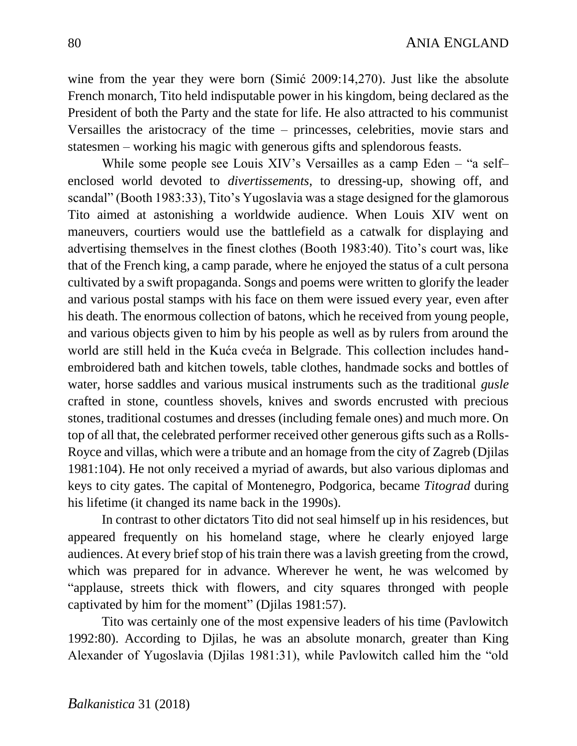wine from the year they were born (Simić 2009:14,270). Just like the absolute French monarch, Tito held indisputable power in his kingdom, being declared as the President of both the Party and the state for life. He also attracted to his communist Versailles the aristocracy of the time – princesses, celebrities, movie stars and statesmen – working his magic with generous gifts and splendorous feasts.

While some people see Louis XIV's Versailles as a camp Eden – "a self– enclosed world devoted to *divertissements*, to dressing-up, showing off, and scandal" (Booth 1983:33), Tito's Yugoslavia was a stage designed for the glamorous Tito aimed at astonishing a worldwide audience. When Louis XIV went on maneuvers, courtiers would use the battlefield as a catwalk for displaying and advertising themselves in the finest clothes (Booth 1983:40). Tito's court was, like that of the French king, a camp parade, where he enjoyed the status of a cult persona cultivated by a swift propaganda. Songs and poems were written to glorify the leader and various postal stamps with his face on them were issued every year, even after his death. The enormous collection of batons, which he received from young people, and various objects given to him by his people as well as by rulers from around the world are still held in the Kuća cveća in Belgrade. This collection includes handembroidered bath and kitchen towels, table clothes, handmade socks and bottles of water, horse saddles and various musical instruments such as the traditional *gusle* crafted in stone, countless shovels, knives and swords encrusted with precious stones, traditional costumes and dresses (including female ones) and much more. On top of all that, the celebrated performer received other generous gifts such as a Rolls-Royce and villas, which were a tribute and an homage from the city of Zagreb (Djilas 1981:104). He not only received a myriad of awards, but also various diplomas and keys to city gates. The capital of Montenegro, Podgorica, became *Titograd* during his lifetime (it changed its name back in the 1990s).

In contrast to other dictators Tito did not seal himself up in his residences, but appeared frequently on his homeland stage, where he clearly enjoyed large audiences. At every brief stop of his train there was a lavish greeting from the crowd, which was prepared for in advance. Wherever he went, he was welcomed by "applause, streets thick with flowers, and city squares thronged with people captivated by him for the moment" (Djilas 1981:57).

Tito was certainly one of the most expensive leaders of his time (Pavlowitch 1992:80). According to Djilas, he was an absolute monarch, greater than King Alexander of Yugoslavia (Djilas 1981:31), while Pavlowitch called him the "old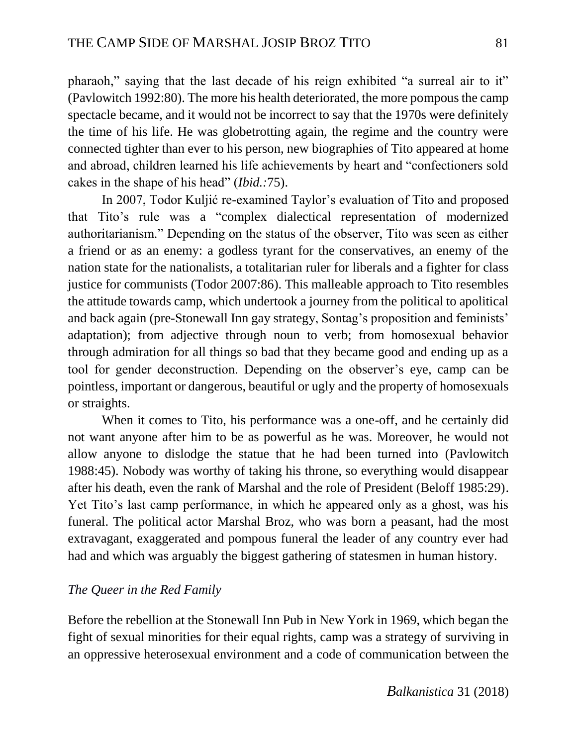pharaoh," saying that the last decade of his reign exhibited "a surreal air to it" (Pavlowitch 1992:80). The more his health deteriorated, the more pompous the camp spectacle became, and it would not be incorrect to say that the 1970s were definitely the time of his life. He was globetrotting again, the regime and the country were connected tighter than ever to his person, new biographies of Tito appeared at home and abroad, children learned his life achievements by heart and "confectioners sold cakes in the shape of his head" (*Ibid.:*75).

In 2007, Todor Kuljić re-examined Taylor's evaluation of Tito and proposed that Tito's rule was a "complex dialectical representation of modernized authoritarianism." Depending on the status of the observer, Tito was seen as either a friend or as an enemy: a godless tyrant for the conservatives, an enemy of the nation state for the nationalists, a totalitarian ruler for liberals and a fighter for class justice for communists (Todor 2007:86). This malleable approach to Tito resembles the attitude towards camp, which undertook a journey from the political to apolitical and back again (pre-Stonewall Inn gay strategy, Sontag's proposition and feminists' adaptation); from adjective through noun to verb; from homosexual behavior through admiration for all things so bad that they became good and ending up as a tool for gender deconstruction. Depending on the observer's eye, camp can be pointless, important or dangerous, beautiful or ugly and the property of homosexuals or straights.

When it comes to Tito, his performance was a one-off, and he certainly did not want anyone after him to be as powerful as he was. Moreover, he would not allow anyone to dislodge the statue that he had been turned into (Pavlowitch 1988:45). Nobody was worthy of taking his throne, so everything would disappear after his death, even the rank of Marshal and the role of President (Beloff 1985:29). Yet Tito's last camp performance, in which he appeared only as a ghost, was his funeral. The political actor Marshal Broz, who was born a peasant, had the most extravagant, exaggerated and pompous funeral the leader of any country ever had had and which was arguably the biggest gathering of statesmen in human history.

### *The Queer in the Red Family*

Before the rebellion at the Stonewall Inn Pub in New York in 1969, which began the fight of sexual minorities for their equal rights, camp was a strategy of surviving in an oppressive heterosexual environment and a code of communication between the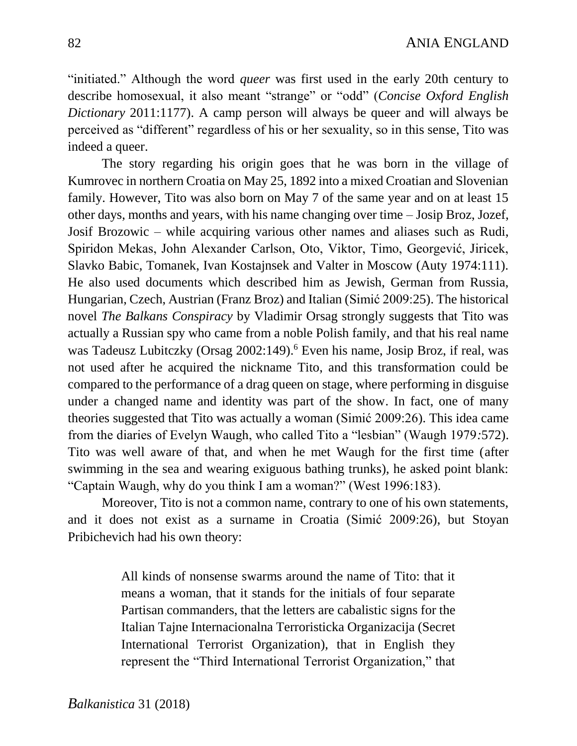"initiated." Although the word *queer* was first used in the early 20th century to describe homosexual, it also meant "strange" or "odd" (*Concise Oxford English Dictionary* 2011:1177). A camp person will always be queer and will always be perceived as "different" regardless of his or her sexuality, so in this sense, Tito was indeed a queer.

The story regarding his origin goes that he was born in the village of Kumrovec in northern Croatia on May 25, 1892 into a mixed Croatian and Slovenian family. However, Tito was also born on May 7 of the same year and on at least 15 other days, months and years, with his name changing over time – Josip Broz, Jozef, Josif Brozowic – while acquiring various other names and aliases such as Rudi, Spiridon Mekas, John Alexander Carlson, Oto, Viktor, Timo, Georgević, Jiricek, Slavko Babic, Tomanek, Ivan Kostajnsek and Valter in Moscow (Auty 1974:111). He also used documents which described him as Jewish, German from Russia, Hungarian, Czech, Austrian (Franz Broz) and Italian (Simić 2009:25). The historical novel *The Balkans Conspiracy* by Vladimir Orsag strongly suggests that Tito was actually a Russian spy who came from a noble Polish family, and that his real name was Tadeusz Lubitczky (Orsag 2002:149).<sup>6</sup> Even his name, Josip Broz, if real, was not used after he acquired the nickname Tito, and this transformation could be compared to the performance of a drag queen on stage, where performing in disguise under a changed name and identity was part of the show. In fact, one of many theories suggested that Tito was actually a woman (Simić 2009:26). This idea came from the diaries of Evelyn Waugh, who called Tito a "lesbian" (Waugh 1979*:*572). Tito was well aware of that, and when he met Waugh for the first time (after swimming in the sea and wearing exiguous bathing trunks), he asked point blank: "Captain Waugh, why do you think I am a woman?" (West 1996:183).

Moreover, Tito is not a common name, contrary to one of his own statements, and it does not exist as a surname in Croatia (Simić 2009:26), but Stoyan Pribichevich had his own theory:

> All kinds of nonsense swarms around the name of Tito: that it means a woman, that it stands for the initials of four separate Partisan commanders, that the letters are cabalistic signs for the Italian Tajne Internacionalna Terroristicka Organizacija (Secret International Terrorist Organization), that in English they represent the "Third International Terrorist Organization," that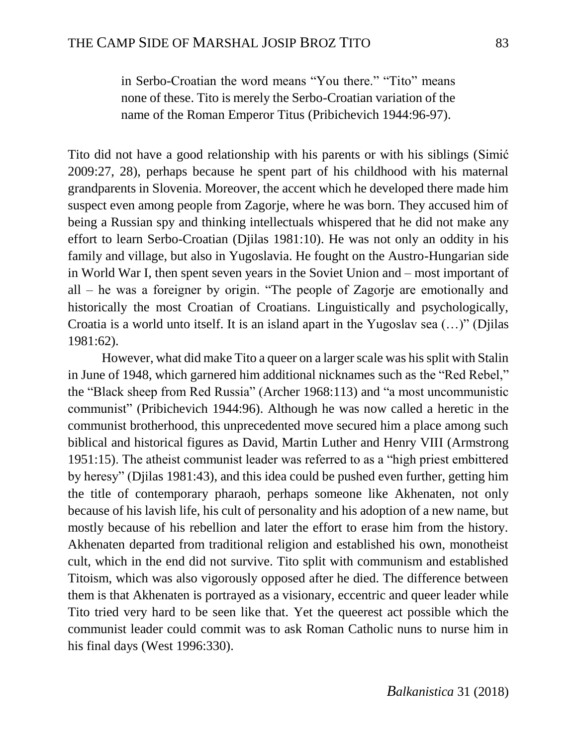in Serbo-Croatian the word means "You there." "Tito" means none of these. Tito is merely the Serbo-Croatian variation of the name of the Roman Emperor Titus (Pribichevich 1944:96-97).

Tito did not have a good relationship with his parents or with his siblings (Simić 2009:27, 28), perhaps because he spent part of his childhood with his maternal grandparents in Slovenia. Moreover, the accent which he developed there made him suspect even among people from Zagorje, where he was born. They accused him of being a Russian spy and thinking intellectuals whispered that he did not make any effort to learn Serbo-Croatian (Djilas 1981:10). He was not only an oddity in his family and village, but also in Yugoslavia. He fought on the Austro-Hungarian side in World War I, then spent seven years in the Soviet Union and – most important of all – he was a foreigner by origin. "The people of Zagorje are emotionally and historically the most Croatian of Croatians. Linguistically and psychologically, Croatia is a world unto itself. It is an island apart in the Yugoslav sea (…)" (Djilas 1981:62).

However, what did make Tito a queer on a larger scale was his split with Stalin in June of 1948, which garnered him additional nicknames such as the "Red Rebel," the "Black sheep from Red Russia" (Archer 1968:113) and "a most uncommunistic communist" (Pribichevich 1944:96). Although he was now called a heretic in the communist brotherhood, this unprecedented move secured him a place among such biblical and historical figures as David, Martin Luther and Henry VIII (Armstrong 1951:15). The atheist communist leader was referred to as a "high priest embittered by heresy" (Djilas 1981:43), and this idea could be pushed even further, getting him the title of contemporary pharaoh, perhaps someone like Akhenaten, not only because of his lavish life, his cult of personality and his adoption of a new name, but mostly because of his rebellion and later the effort to erase him from the history. Akhenaten departed from traditional religion and established his own, monotheist cult, which in the end did not survive. Tito split with communism and established Titoism, which was also vigorously opposed after he died. The difference between them is that Akhenaten is portrayed as a visionary, eccentric and queer leader while Tito tried very hard to be seen like that. Yet the queerest act possible which the communist leader could commit was to ask Roman Catholic nuns to nurse him in his final days (West 1996:330).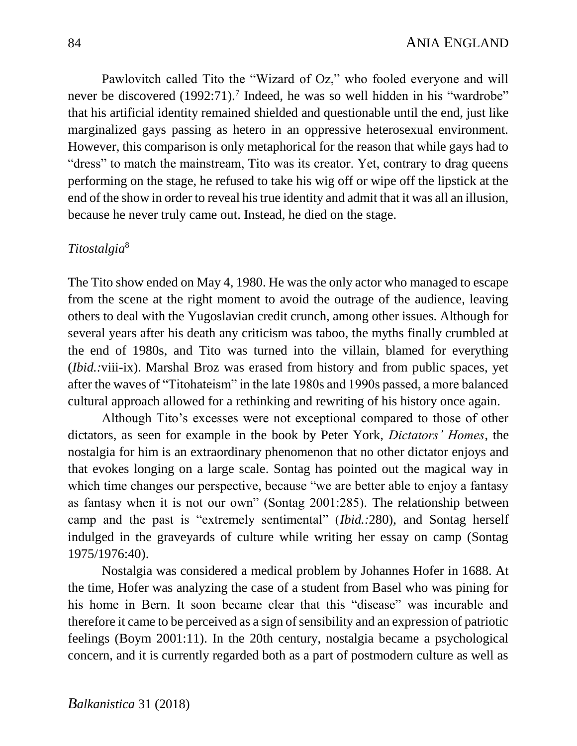Pawlovitch called Tito the "Wizard of Oz," who fooled everyone and will never be discovered (1992:71).<sup>7</sup> Indeed, he was so well hidden in his "wardrobe" that his artificial identity remained shielded and questionable until the end, just like marginalized gays passing as hetero in an oppressive heterosexual environment. However, this comparison is only metaphorical for the reason that while gays had to "dress" to match the mainstream, Tito was its creator. Yet, contrary to drag queens performing on the stage, he refused to take his wig off or wipe off the lipstick at the end of the show in order to reveal his true identity and admit that it was all an illusion, because he never truly came out. Instead, he died on the stage.

# *Titostalgia*<sup>8</sup>

The Tito show ended on May 4, 1980. He was the only actor who managed to escape from the scene at the right moment to avoid the outrage of the audience, leaving others to deal with the Yugoslavian credit crunch, among other issues. Although for several years after his death any criticism was taboo, the myths finally crumbled at the end of 1980s, and Tito was turned into the villain, blamed for everything (*Ibid.:*viii-ix). Marshal Broz was erased from history and from public spaces, yet after the waves of "Titohateism" in the late 1980s and 1990s passed, a more balanced cultural approach allowed for a rethinking and rewriting of his history once again.

Although Tito's excesses were not exceptional compared to those of other dictators, as seen for example in the book by Peter York, *Dictators' Homes*, the nostalgia for him is an extraordinary phenomenon that no other dictator enjoys and that evokes longing on a large scale. Sontag has pointed out the magical way in which time changes our perspective, because "we are better able to enjoy a fantasy as fantasy when it is not our own" (Sontag 2001:285). The relationship between camp and the past is "extremely sentimental" (*Ibid.:*280), and Sontag herself indulged in the graveyards of culture while writing her essay on camp (Sontag 1975/1976:40).

Nostalgia was considered a medical problem by Johannes Hofer in 1688. At the time, Hofer was analyzing the case of a student from Basel who was pining for his home in Bern. It soon became clear that this "disease" was incurable and therefore it came to be perceived as a sign of sensibility and an expression of patriotic feelings (Boym 2001:11). In the 20th century, nostalgia became a psychological concern, and it is currently regarded both as a part of postmodern culture as well as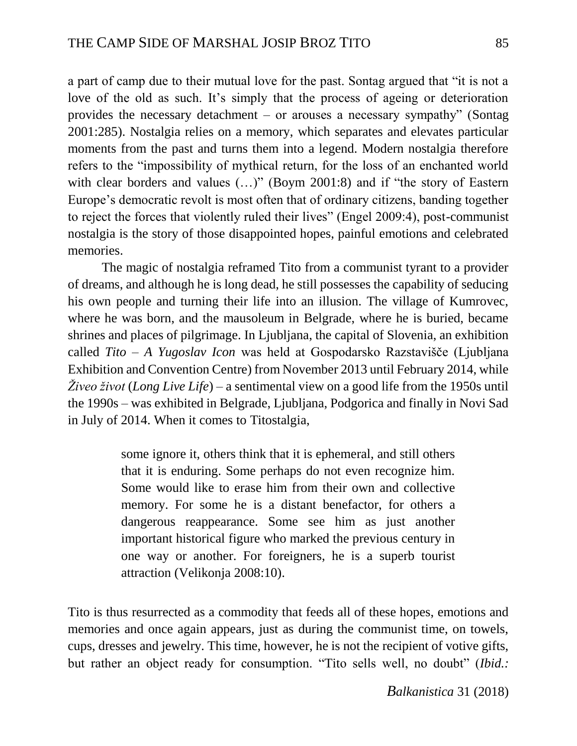a part of camp due to their mutual love for the past. Sontag argued that "it is not a love of the old as such. It's simply that the process of ageing or deterioration provides the necessary detachment – or arouses a necessary sympathy" (Sontag 2001:285). Nostalgia relies on a memory, which separates and elevates particular moments from the past and turns them into a legend. Modern nostalgia therefore refers to the "impossibility of mythical return, for the loss of an enchanted world with clear borders and values (...)" (Boym 2001:8) and if "the story of Eastern Europe's democratic revolt is most often that of ordinary citizens, banding together to reject the forces that violently ruled their lives" (Engel 2009:4), post-communist nostalgia is the story of those disappointed hopes, painful emotions and celebrated memories.

The magic of nostalgia reframed Tito from a communist tyrant to a provider of dreams, and although he is long dead, he still possesses the capability of seducing his own people and turning their life into an illusion. The village of Kumrovec, where he was born, and the mausoleum in Belgrade, where he is buried, became shrines and places of pilgrimage. In Ljubljana, the capital of Slovenia, an exhibition called *Tito – A Yugoslav Icon* was held at Gospodarsko Razstavišče (Ljubljana Exhibition and Convention Centre) from November 2013 until February 2014, while *Živeo život* (*Long Live Life*) – a sentimental view on a good life from the 1950s until the 1990s – was exhibited in Belgrade, Ljubljana, Podgorica and finally in Novi Sad in July of 2014. When it comes to Titostalgia,

> some ignore it, others think that it is ephemeral, and still others that it is enduring. Some perhaps do not even recognize him. Some would like to erase him from their own and collective memory. For some he is a distant benefactor, for others a dangerous reappearance. Some see him as just another important historical figure who marked the previous century in one way or another. For foreigners, he is a superb tourist attraction (Velikonja 2008:10).

Tito is thus resurrected as a commodity that feeds all of these hopes, emotions and memories and once again appears, just as during the communist time, on towels, cups, dresses and jewelry. This time, however, he is not the recipient of votive gifts, but rather an object ready for consumption. "Tito sells well, no doubt" (*Ibid.:*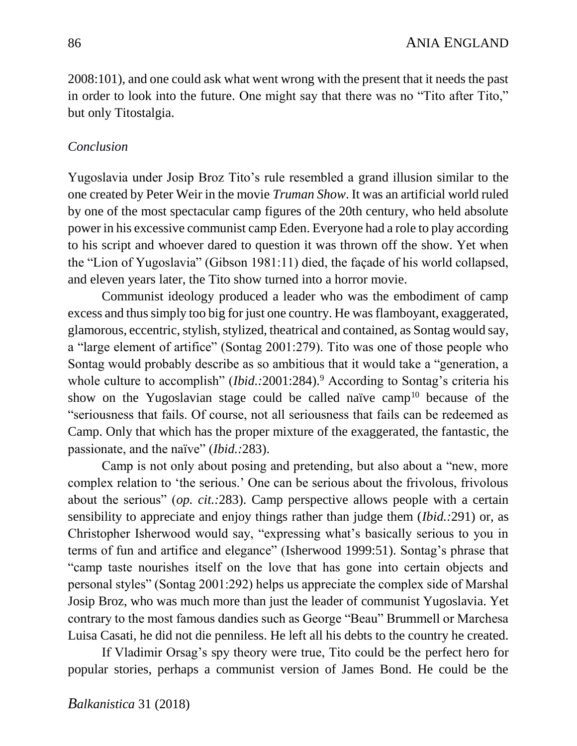2008:101), and one could ask what went wrong with the present that it needs the past in order to look into the future. One might say that there was no "Tito after Tito," but only Titostalgia.

### *Conclusion*

Yugoslavia under Josip Broz Tito's rule resembled a grand illusion similar to the one created by Peter Weir in the movie *Truman Show*. It was an artificial world ruled by one of the most spectacular camp figures of the 20th century, who held absolute power in his excessive communist camp Eden. Everyone had a role to play according to his script and whoever dared to question it was thrown off the show. Yet when the "Lion of Yugoslavia" (Gibson 1981:11) died, the façade of his world collapsed, and eleven years later, the Tito show turned into a horror movie.

Communist ideology produced a leader who was the embodiment of camp excess and thus simply too big for just one country. He was flamboyant, exaggerated, glamorous, eccentric, stylish, stylized, theatrical and contained, as Sontag would say, a "large element of artifice" (Sontag 2001:279). Tito was one of those people who Sontag would probably describe as so ambitious that it would take a "generation, a whole culture to accomplish" *(Ibid.:2001:284)*.<sup>9</sup> According to Sontag's criteria his show on the Yugoslavian stage could be called naïve camp<sup>10</sup> because of the "seriousness that fails. Of course, not all seriousness that fails can be redeemed as Camp. Only that which has the proper mixture of the exaggerated, the fantastic, the passionate, and the naïve" (*Ibid.:*283).

Camp is not only about posing and pretending, but also about a "new, more complex relation to 'the serious.' One can be serious about the frivolous, frivolous about the serious" (*op. cit.:*283). Camp perspective allows people with a certain sensibility to appreciate and enjoy things rather than judge them (*Ibid.:*291) or, as Christopher Isherwood would say, "expressing what's basically serious to you in terms of fun and artifice and elegance" (Isherwood 1999:51). Sontag's phrase that "camp taste nourishes itself on the love that has gone into certain objects and personal styles" (Sontag 2001:292) helps us appreciate the complex side of Marshal Josip Broz, who was much more than just the leader of communist Yugoslavia. Yet contrary to the most famous dandies such as George "Beau" Brummell or Marchesa Luisa Casati, he did not die penniless. He left all his debts to the country he created.

If Vladimir Orsag's spy theory were true, Tito could be the perfect hero for popular stories, perhaps a communist version of James Bond. He could be the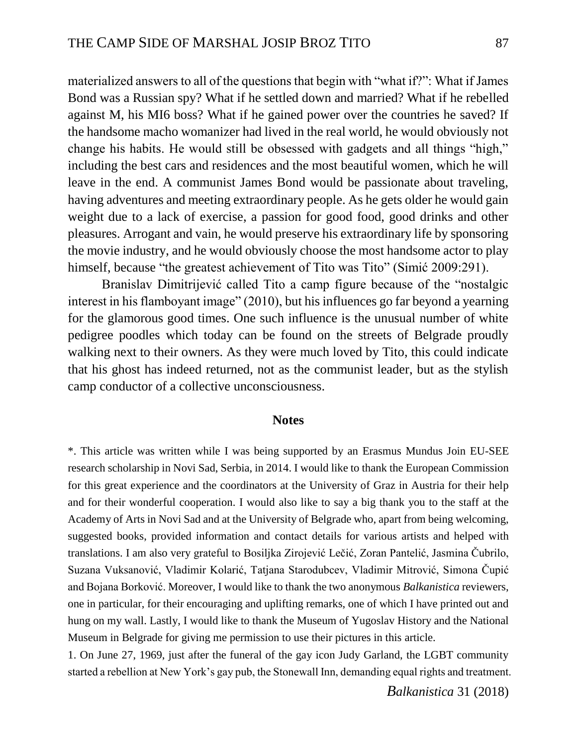materialized answers to all of the questions that begin with "what if?": What if James Bond was a Russian spy? What if he settled down and married? What if he rebelled against M, his MI6 boss? What if he gained power over the countries he saved? If the handsome macho womanizer had lived in the real world, he would obviously not change his habits. He would still be obsessed with gadgets and all things "high," including the best cars and residences and the most beautiful women, which he will leave in the end. A communist James Bond would be passionate about traveling, having adventures and meeting extraordinary people. As he gets older he would gain weight due to a lack of exercise, a passion for good food, good drinks and other pleasures. Arrogant and vain, he would preserve his extraordinary life by sponsoring the movie industry, and he would obviously choose the most handsome actor to play himself, because "the greatest achievement of Tito was Tito" (Simić 2009:291).

Branislav Dimitrijević called Tito a camp figure because of the "nostalgic interest in his flamboyant image" (2010), but his influences go far beyond a yearning for the glamorous good times. One such influence is the unusual number of white pedigree poodles which today can be found on the streets of Belgrade proudly walking next to their owners. As they were much loved by Tito, this could indicate that his ghost has indeed returned, not as the communist leader, but as the stylish camp conductor of a collective unconsciousness.

#### **Notes**

\*. This article was written while I was being supported by an Erasmus Mundus Join EU-SEE research scholarship in Novi Sad, Serbia, in 2014. I would like to thank the European Commission for this great experience and the coordinators at the University of Graz in Austria for their help and for their wonderful cooperation. I would also like to say a big thank you to the staff at the Academy of Arts in Novi Sad and at the University of Belgrade who, apart from being welcoming, suggested books, provided information and contact details for various artists and helped with translations. I am also very grateful to Bosiljka Zirojević Lečić, Zoran Pantelić, Jasmina Čubrilo, Suzana Vuksanović, Vladimir Kolarić, Tatjana Starodubcev, Vladimir Mitrović, Simona Čupić and Bojana Borković. Moreover, I would like to thank the two anonymous *Balkanistica* reviewers, one in particular, for their encouraging and uplifting remarks, one of which I have printed out and hung on my wall. Lastly, I would like to thank the Museum of Yugoslav History and the National Museum in Belgrade for giving me permission to use their pictures in this article.

1. On June 27, 1969, just after the funeral of the gay icon Judy Garland, the LGBT community started a rebellion at New York's gay pub, the Stonewall Inn, demanding equal rights and treatment.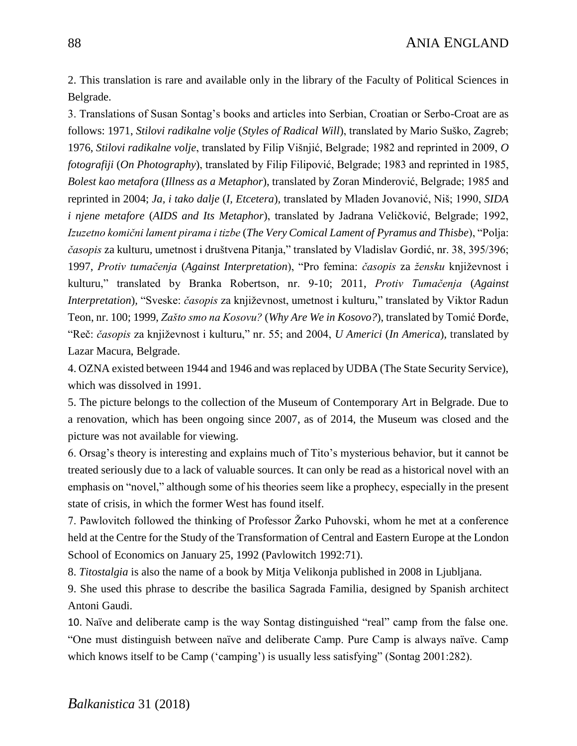2. This translation is rare and available only in the library of the Faculty of Political Sciences in Belgrade.

3. Translations of Susan Sontag's books and articles into Serbian, Croatian or Serbo-Croat are as follows: 1971, *Stilovi radikalne volje* (*Styles of Radical Will*), translated by Mario Suško, Zagreb; 1976, *Stilovi radikalne volje*, translated by Filip Višnjić, Belgrade; 1982 and reprinted in 2009, *O fotografiji* (*On Photography*), translated by Filip Filipović, Belgrade; 1983 and reprinted in 1985, *Bolest kao metafora* (*Illness as a Metaphor*), translated by Zoran Minderović, Belgrade; 1985 and reprinted in 2004; *Ja, i tako dalje* (*I, Etcetera*)*,* translated by Mladen Jovanović, Niš; 1990, *SIDA i njene metafore* (*AIDS and Its Metaphor*), translated by Jadrana Veličković, Belgrade; 1992, *Izuzetno komični lament pirama i tizbe* (*The Very Comical Lament of Pyramus and Thisbe*), "Polja: *časopis* za kulturu*,* umetnost i društvena Pitanja," translated by Vladislav Gordić, nr. 38, 395/396; 1997, *Protiv tumačenja* (*Against Interpretation*), "Pro femina: *časopis* za *žensku* književnost i kulturu," translated by Branka Robertson, nr. 9-10; 2011, *Protiv Tumačenja* (*Against Interpretation*)*,* "Sveske: *časopis* za književnost, umetnost i kulturu," translated by Viktor Radun Teon, nr. 100; 1999, *Zašto smo na Kosovu?* (*Why Are We in Kosovo?*), translated by Tomić Đorđe, "Reč: *časopis* za književnost i kulturu," nr. 55; and 2004, *U Americi* (*In America*), translated by Lazar Macura, Belgrade.

4. OZNA existed between 1944 and 1946 and was replaced by UDBA (The State Security Service), which was dissolved in 1991.

5. The picture belongs to the collection of the Museum of Contemporary Art in Belgrade. Due to a renovation, which has been ongoing since 2007, as of 2014, the Museum was closed and the picture was not available for viewing.

6. Orsag's theory is interesting and explains much of Tito's mysterious behavior, but it cannot be treated seriously due to a lack of valuable sources. It can only be read as a historical novel with an emphasis on "novel," although some of his theories seem like a prophecy, especially in the present state of crisis, in which the former West has found itself.

7. Pawlovitch followed the thinking of Professor Žarko Puhovski, whom he met at a conference held at the Centre for the Study of the Transformation of Central and Eastern Europe at the London School of Economics on January 25, 1992 (Pavlowitch 1992:71).

8. *Titostalgia* is also the name of a book by Mitja Velikonja published in 2008 in Ljubljana.

9. She used this phrase to describe the basilica Sagrada Familia, designed by Spanish architect Antoni Gaudi.

10. Naïve and deliberate camp is the way Sontag distinguished "real" camp from the false one. "One must distinguish between naïve and deliberate Camp. Pure Camp is always naïve. Camp which knows itself to be Camp ('camping') is usually less satisfying" (Sontag 2001:282).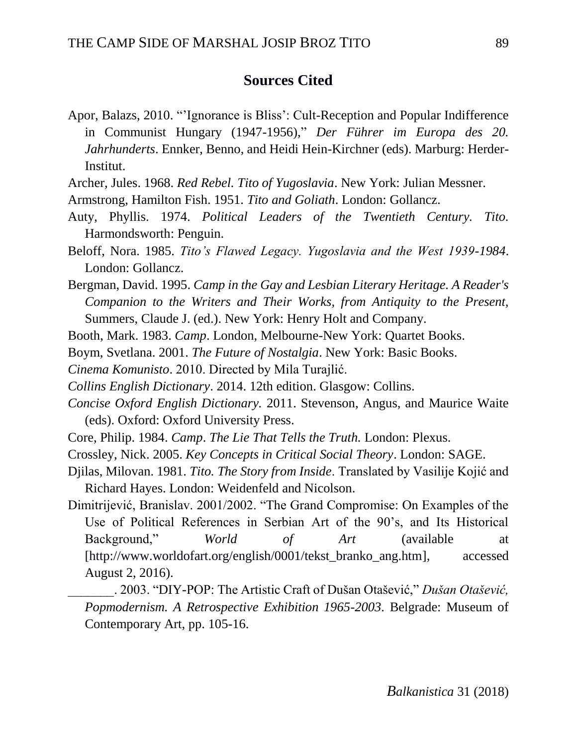## **Sources Cited**

- Apor, Balazs, 2010. "'Ignorance is Bliss': Cult-Reception and Popular Indifference in Communist Hungary (1947*-*1956)," *Der Führer im Europa des 20. Jahrhunderts*. Ennker, Benno, and Heidi Hein*-*Kirchner (eds). Marburg: Herder*-*Institut.
- Archer, Jules. 1968. *Red Rebel. Tito of Yugoslavia*. New York: Julian Messner.
- Armstrong, Hamilton Fish. 1951. *Tito and Goliath*. London: Gollancz.
- Auty, Phyllis. 1974. *Political Leaders of the Twentieth Century. Tito.* Harmondsworth: Penguin.
- Beloff, Nora. 1985. *Tito's Flawed Legacy. Yugoslavia and the West 1939-1984*. London: Gollancz.
- Bergman, David. 1995. *Camp in the Gay and Lesbian Literary Heritage. A Reader's Companion to the Writers and Their Works, from Antiquity to the Present,*  Summers, Claude J. (ed.). New York: Henry Holt and Company.
- Booth, Mark. 1983. *Camp*. London, Melbourne*-*New York: Quartet Books.
- Boym, Svetlana. 2001. *The Future of Nostalgia*. New York: Basic Books.
- *Cinema Komunisto*. 2010. Directed by Mila Turajlić.
- *Collins English Dictionary*. 2014. 12th edition. Glasgow: Collins.
- *Concise Oxford English Dictionary.* 2011. Stevenson, Angus, and Maurice Waite (eds). Oxford: Oxford University Press.
- Core, Philip. 1984. *Camp*. *The Lie That Tells the Truth.* London: Plexus.
- Crossley, Nick. 2005. *Key Concepts in Critical Social Theory*. London: SAGE.
- Djilas, Milovan. 1981. *Tito. The Story from Inside*. Translated by Vasilije Kojić and Richard Hayes. London: Weidenfeld and Nicolson.
- Dimitrijević, Branislav. 2001/2002. "The Grand Compromise: On Examples of the Use of Political References in Serbian Art of the 90's, and Its Historical Background," *World of Art* (available at [\[http://www.worldofart.org/english/0001/tekst\\_branko\\_ang.htm\]](http://www.worldofart.org/english/0001/tekst_branko_ang.htm), accessed August 2, 2016).
	- \_\_\_\_\_\_\_. 2003. "DIY-POP: The Artistic Craft of Dušan Otašević," *Dušan Otašević, Popmodernism. A Retrospective Exhibition 1965-2003*. Belgrade: Museum of Contemporary Art, pp. 105-16.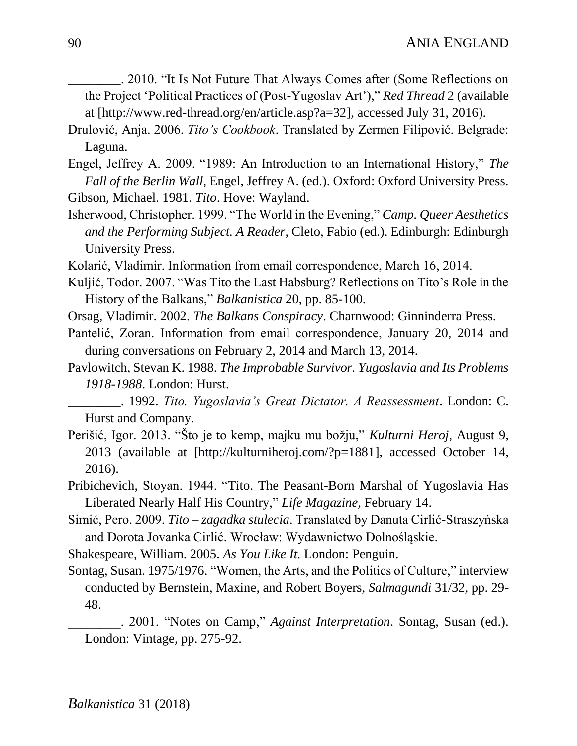*\_\_\_\_\_\_\_\_*. 2010. "It Is Not Future That Always Comes after (Some Reflections on the Project 'Political Practices of (Post-Yugoslav Art')," *Red Thread* 2 (available at [\[http://www.red-thread.org/en/article.asp?a=32\]](http://www.red-thread.org/en/article.asp?a=32), accessed July 31, 2016).

- Drulović, Anja. 2006. *Tito's Cookbook*. Translated by Zermen Filipović. Belgrade: Laguna.
- Engel, Jeffrey A. 2009. "1989: An Introduction to an International History," *The Fall of the Berlin Wall*, Engel, Jeffrey A. (ed.). Oxford: Oxford University Press. Gibson, Michael. 1981. *Tito*. Hove: Wayland.
- Isherwood, Christopher. 1999. "The World in the Evening," *Camp. Queer Aesthetics and the Performing Subject. A Reader*, Cleto, Fabio (ed.). Edinburgh: Edinburgh University Press.
- Kolarić, Vladimir. Information from email correspondence, March 16, 2014.
- Kuljić, Todor. 2007. "Was Tito the Last Habsburg? Reflections on Tito's Role in the History of the Balkans," *Balkanistica* 20, pp. 85*-*100.
- Orsag, Vladimir. 2002. *The Balkans Conspiracy*. Charnwood: Ginninderra Press.
- Pantelić, Zoran. Information from email correspondence, January 20, 2014 and during conversations on February 2, 2014 and March 13, 2014.
- Pavlowitch, Stevan K. 1988. *The Improbable Survivor. Yugoslavia and Its Problems 1918-1988*. London: Hurst.
- *\_\_\_\_\_\_\_\_*. 1992. *Tito. Yugoslavia's Great Dictator. A Reassessment*. London: C. Hurst and Company.
- Perišić, Igor. 2013. "Što je to kemp, majku mu božju," *Kulturni Heroj*, August 9, 2013 (available at [\[http://kulturniheroj.com/?p=1881\]](http://kulturniheroj.com/?p=1881), accessed October 14, 2016).
- Pribichevich, Stoyan. 1944. "Tito. The Peasant-Born Marshal of Yugoslavia Has Liberated Nearly Half His Country," *Life Magazine,* February 14.
- Simić, Pero. 2009. *Tito – zagadka stulecia*. Translated by Danuta Cirlić*-*Straszyńska and Dorota Jovanka Cirlić. Wrocław: Wydawnictwo Dolnośląskie.
- Shakespeare, William. 2005. *As You Like It.* London: Penguin.
- Sontag, Susan. 1975/1976. "Women, the Arts, and the Politics of Culture," interview conducted by Bernstein, Maxine, and Robert Boyers, *Salmagundi* 31/32, pp. 29- 48.
	- \_\_\_\_\_\_\_\_. 2001. "Notes on Camp," *Against Interpretation*. Sontag, Susan (ed.). London: Vintage, pp. 275-92.